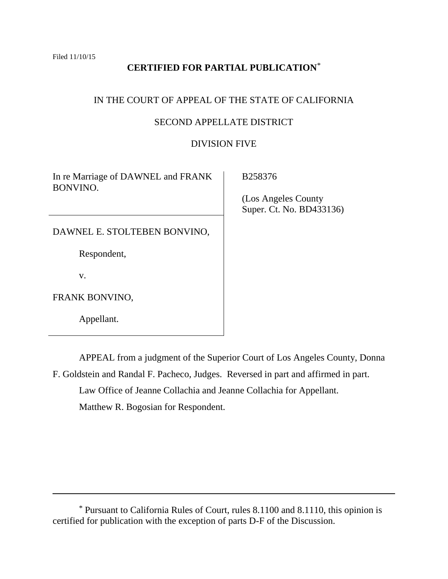# **CERTIFIED FOR PARTIAL PUBLICATION**\*

# IN THE COURT OF APPEAL OF THE STATE OF CALIFORNIA

# SECOND APPELLATE DISTRICT

# DIVISION FIVE

In re Marriage of DAWNEL and FRANK BONVINO.

B258376

 (Los Angeles County Super. Ct. No. BD433136)

DAWNEL E. STOLTEBEN BONVINO,

Respondent,

v.

 $\overline{a}$ 

FRANK BONVINO,

Appellant.

APPEAL from a judgment of the Superior Court of Los Angeles County, Donna F. Goldstein and Randal F. Pacheco, Judges. Reversed in part and affirmed in part.

Law Office of Jeanne Collachia and Jeanne Collachia for Appellant.

Matthew R. Bogosian for Respondent.

<sup>\*</sup> Pursuant to California Rules of Court, rules 8.1100 and 8.1110, this opinion is certified for publication with the exception of parts D-F of the Discussion.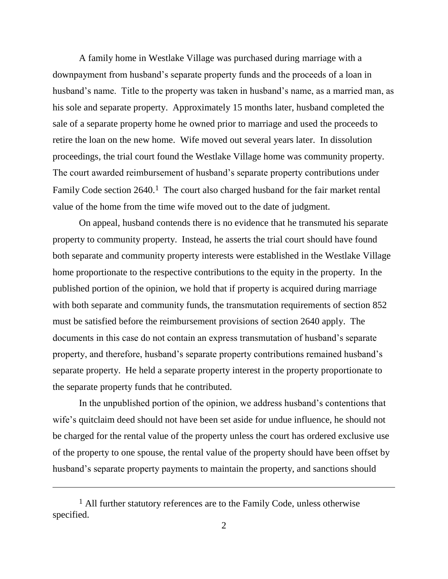A family home in Westlake Village was purchased during marriage with a downpayment from husband's separate property funds and the proceeds of a loan in husband's name. Title to the property was taken in husband's name, as a married man, as his sole and separate property. Approximately 15 months later, husband completed the sale of a separate property home he owned prior to marriage and used the proceeds to retire the loan on the new home. Wife moved out several years later. In dissolution proceedings, the trial court found the Westlake Village home was community property. The court awarded reimbursement of husband's separate property contributions under Family Code section 2640.<sup>1</sup> The court also charged husband for the fair market rental value of the home from the time wife moved out to the date of judgment.

On appeal, husband contends there is no evidence that he transmuted his separate property to community property. Instead, he asserts the trial court should have found both separate and community property interests were established in the Westlake Village home proportionate to the respective contributions to the equity in the property. In the published portion of the opinion, we hold that if property is acquired during marriage with both separate and community funds, the transmutation requirements of section 852 must be satisfied before the reimbursement provisions of section 2640 apply. The documents in this case do not contain an express transmutation of husband's separate property, and therefore, husband's separate property contributions remained husband's separate property. He held a separate property interest in the property proportionate to the separate property funds that he contributed.

In the unpublished portion of the opinion, we address husband's contentions that wife's quitclaim deed should not have been set aside for undue influence, he should not be charged for the rental value of the property unless the court has ordered exclusive use of the property to one spouse, the rental value of the property should have been offset by husband's separate property payments to maintain the property, and sanctions should

 $\overline{a}$ 

<sup>&</sup>lt;sup>1</sup> All further statutory references are to the Family Code, unless otherwise specified.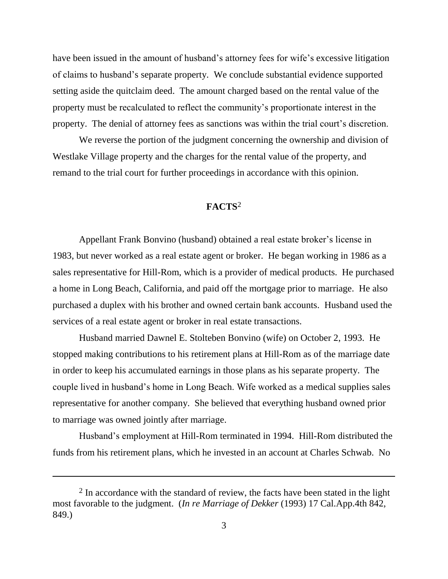have been issued in the amount of husband's attorney fees for wife's excessive litigation of claims to husband's separate property. We conclude substantial evidence supported setting aside the quitclaim deed. The amount charged based on the rental value of the property must be recalculated to reflect the community's proportionate interest in the property. The denial of attorney fees as sanctions was within the trial court's discretion.

We reverse the portion of the judgment concerning the ownership and division of Westlake Village property and the charges for the rental value of the property, and remand to the trial court for further proceedings in accordance with this opinion.

# **FACTS**<sup>2</sup>

Appellant Frank Bonvino (husband) obtained a real estate broker's license in 1983, but never worked as a real estate agent or broker. He began working in 1986 as a sales representative for Hill-Rom, which is a provider of medical products. He purchased a home in Long Beach, California, and paid off the mortgage prior to marriage. He also purchased a duplex with his brother and owned certain bank accounts. Husband used the services of a real estate agent or broker in real estate transactions.

Husband married Dawnel E. Stolteben Bonvino (wife) on October 2, 1993. He stopped making contributions to his retirement plans at Hill-Rom as of the marriage date in order to keep his accumulated earnings in those plans as his separate property. The couple lived in husband's home in Long Beach. Wife worked as a medical supplies sales representative for another company. She believed that everything husband owned prior to marriage was owned jointly after marriage.

Husband's employment at Hill-Rom terminated in 1994. Hill-Rom distributed the funds from his retirement plans, which he invested in an account at Charles Schwab. No

<sup>&</sup>lt;sup>2</sup> In accordance with the standard of review, the facts have been stated in the light most favorable to the judgment. (*In re Marriage of Dekker* (1993) 17 Cal.App.4th 842, 849.)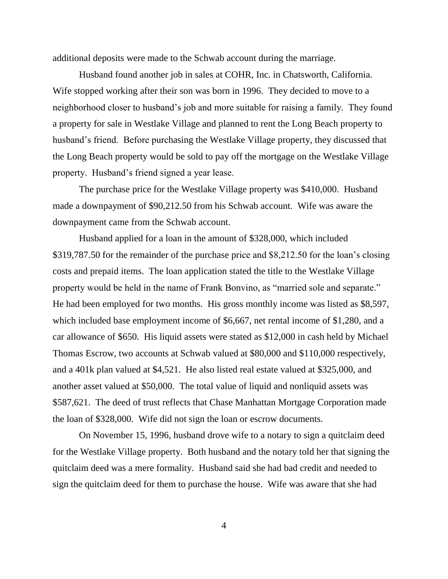additional deposits were made to the Schwab account during the marriage.

Husband found another job in sales at COHR, Inc. in Chatsworth, California. Wife stopped working after their son was born in 1996. They decided to move to a neighborhood closer to husband's job and more suitable for raising a family. They found a property for sale in Westlake Village and planned to rent the Long Beach property to husband's friend. Before purchasing the Westlake Village property, they discussed that the Long Beach property would be sold to pay off the mortgage on the Westlake Village property. Husband's friend signed a year lease.

The purchase price for the Westlake Village property was \$410,000. Husband made a downpayment of \$90,212.50 from his Schwab account. Wife was aware the downpayment came from the Schwab account.

Husband applied for a loan in the amount of \$328,000, which included \$319,787.50 for the remainder of the purchase price and \$8,212.50 for the loan's closing costs and prepaid items. The loan application stated the title to the Westlake Village property would be held in the name of Frank Bonvino, as "married sole and separate." He had been employed for two months. His gross monthly income was listed as \$8,597, which included base employment income of \$6,667, net rental income of \$1,280, and a car allowance of \$650. His liquid assets were stated as \$12,000 in cash held by Michael Thomas Escrow, two accounts at Schwab valued at \$80,000 and \$110,000 respectively, and a 401k plan valued at \$4,521. He also listed real estate valued at \$325,000, and another asset valued at \$50,000. The total value of liquid and nonliquid assets was \$587,621. The deed of trust reflects that Chase Manhattan Mortgage Corporation made the loan of \$328,000. Wife did not sign the loan or escrow documents.

On November 15, 1996, husband drove wife to a notary to sign a quitclaim deed for the Westlake Village property. Both husband and the notary told her that signing the quitclaim deed was a mere formality. Husband said she had bad credit and needed to sign the quitclaim deed for them to purchase the house. Wife was aware that she had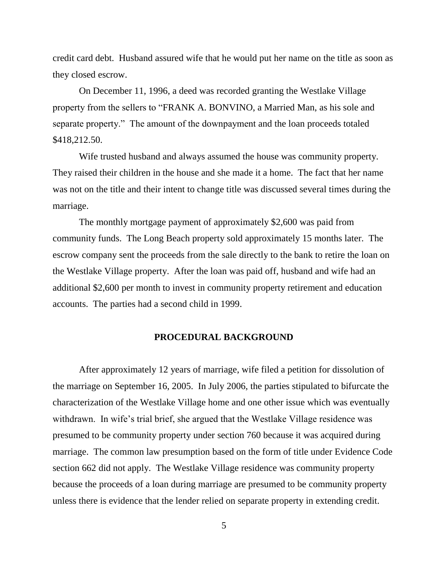credit card debt. Husband assured wife that he would put her name on the title as soon as they closed escrow.

On December 11, 1996, a deed was recorded granting the Westlake Village property from the sellers to "FRANK A. BONVINO, a Married Man, as his sole and separate property." The amount of the downpayment and the loan proceeds totaled \$418,212.50.

Wife trusted husband and always assumed the house was community property. They raised their children in the house and she made it a home. The fact that her name was not on the title and their intent to change title was discussed several times during the marriage.

The monthly mortgage payment of approximately \$2,600 was paid from community funds. The Long Beach property sold approximately 15 months later. The escrow company sent the proceeds from the sale directly to the bank to retire the loan on the Westlake Village property. After the loan was paid off, husband and wife had an additional \$2,600 per month to invest in community property retirement and education accounts. The parties had a second child in 1999.

## **PROCEDURAL BACKGROUND**

After approximately 12 years of marriage, wife filed a petition for dissolution of the marriage on September 16, 2005. In July 2006, the parties stipulated to bifurcate the characterization of the Westlake Village home and one other issue which was eventually withdrawn. In wife's trial brief, she argued that the Westlake Village residence was presumed to be community property under section 760 because it was acquired during marriage. The common law presumption based on the form of title under Evidence Code section 662 did not apply. The Westlake Village residence was community property because the proceeds of a loan during marriage are presumed to be community property unless there is evidence that the lender relied on separate property in extending credit.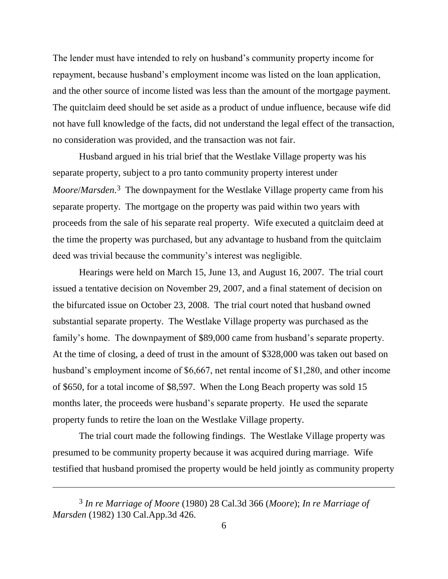The lender must have intended to rely on husband's community property income for repayment, because husband's employment income was listed on the loan application, and the other source of income listed was less than the amount of the mortgage payment. The quitclaim deed should be set aside as a product of undue influence, because wife did not have full knowledge of the facts, did not understand the legal effect of the transaction, no consideration was provided, and the transaction was not fair.

Husband argued in his trial brief that the Westlake Village property was his separate property, subject to a pro tanto community property interest under *Moore*/*Marsden*. 3 The downpayment for the Westlake Village property came from his separate property. The mortgage on the property was paid within two years with proceeds from the sale of his separate real property. Wife executed a quitclaim deed at the time the property was purchased, but any advantage to husband from the quitclaim deed was trivial because the community's interest was negligible.

Hearings were held on March 15, June 13, and August 16, 2007. The trial court issued a tentative decision on November 29, 2007, and a final statement of decision on the bifurcated issue on October 23, 2008. The trial court noted that husband owned substantial separate property. The Westlake Village property was purchased as the family's home. The downpayment of \$89,000 came from husband's separate property. At the time of closing, a deed of trust in the amount of \$328,000 was taken out based on husband's employment income of \$6,667, net rental income of \$1,280, and other income of \$650, for a total income of \$8,597. When the Long Beach property was sold 15 months later, the proceeds were husband's separate property. He used the separate property funds to retire the loan on the Westlake Village property.

The trial court made the following findings. The Westlake Village property was presumed to be community property because it was acquired during marriage. Wife testified that husband promised the property would be held jointly as community property

 $\overline{a}$ 

<sup>3</sup> *In re Marriage of Moore* (1980) 28 Cal.3d 366 (*Moore*); *In re Marriage of Marsden* (1982) 130 Cal.App.3d 426.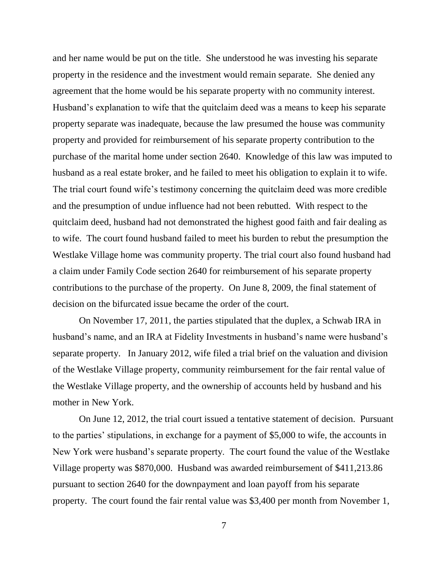and her name would be put on the title. She understood he was investing his separate property in the residence and the investment would remain separate. She denied any agreement that the home would be his separate property with no community interest. Husband's explanation to wife that the quitclaim deed was a means to keep his separate property separate was inadequate, because the law presumed the house was community property and provided for reimbursement of his separate property contribution to the purchase of the marital home under section 2640. Knowledge of this law was imputed to husband as a real estate broker, and he failed to meet his obligation to explain it to wife. The trial court found wife's testimony concerning the quitclaim deed was more credible and the presumption of undue influence had not been rebutted. With respect to the quitclaim deed, husband had not demonstrated the highest good faith and fair dealing as to wife. The court found husband failed to meet his burden to rebut the presumption the Westlake Village home was community property. The trial court also found husband had a claim under Family Code section 2640 for reimbursement of his separate property contributions to the purchase of the property. On June 8, 2009, the final statement of decision on the bifurcated issue became the order of the court.

On November 17, 2011, the parties stipulated that the duplex, a Schwab IRA in husband's name, and an IRA at Fidelity Investments in husband's name were husband's separate property. In January 2012, wife filed a trial brief on the valuation and division of the Westlake Village property, community reimbursement for the fair rental value of the Westlake Village property, and the ownership of accounts held by husband and his mother in New York.

On June 12, 2012, the trial court issued a tentative statement of decision. Pursuant to the parties' stipulations, in exchange for a payment of \$5,000 to wife, the accounts in New York were husband's separate property. The court found the value of the Westlake Village property was \$870,000. Husband was awarded reimbursement of \$411,213.86 pursuant to section 2640 for the downpayment and loan payoff from his separate property. The court found the fair rental value was \$3,400 per month from November 1,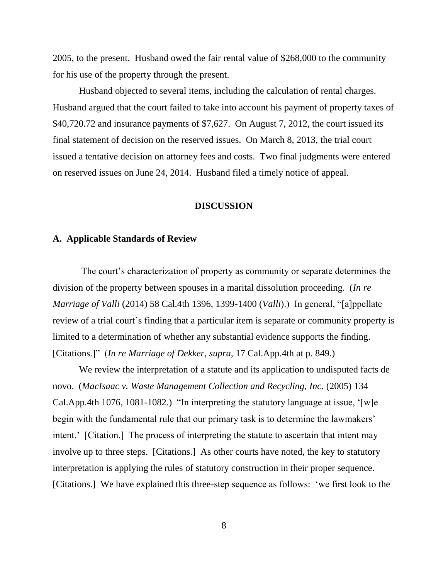2005, to the present. Husband owed the fair rental value of \$268,000 to the community for his use of the property through the present.

Husband objected to several items, including the calculation of rental charges. Husband argued that the court failed to take into account his payment of property taxes of \$40,720.72 and insurance payments of \$7,627. On August 7, 2012, the court issued its final statement of decision on the reserved issues. On March 8, 2013, the trial court issued a tentative decision on attorney fees and costs. Two final judgments were entered on reserved issues on June 24, 2014. Husband filed a timely notice of appeal.

#### **DISCUSSION**

## **A. Applicable Standards of Review**

The court's characterization of property as community or separate determines the division of the property between spouses in a marital dissolution proceeding. (*In re Marriage of Valli* (2014) 58 Cal.4th 1396, 1399-1400 (*Valli*).) In general, "[a]ppellate review of a trial court's finding that a particular item is separate or community property is limited to a determination of whether any substantial evidence supports the finding. [Citations.]" (*In re Marriage of Dekker, supra,* 17 Cal.App.4th at p. 849.)

We review the interpretation of a statute and its application to undisputed facts de novo. (*MacIsaac v. Waste Management Collection and Recycling, Inc.* (2005) 134 Cal.App.4th 1076, 1081-1082.) "In interpreting the statutory language at issue, '[w]e begin with the fundamental rule that our primary task is to determine the lawmakers' intent.' [Citation.] The process of interpreting the statute to ascertain that intent may involve up to three steps. [Citations.] As other courts have noted, the key to statutory interpretation is applying the rules of statutory construction in their proper sequence. [Citations.] We have explained this three-step sequence as follows: 'we first look to the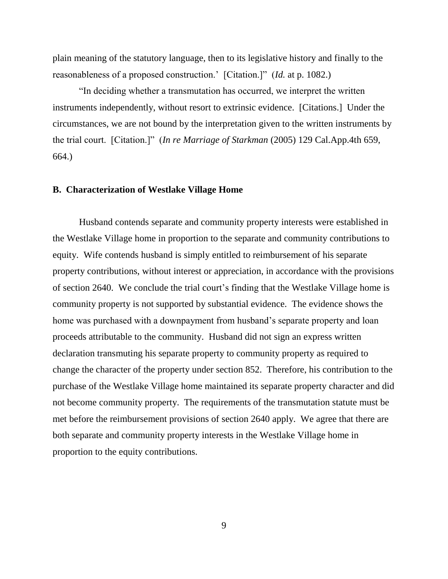plain meaning of the statutory language, then to its legislative history and finally to the reasonableness of a proposed construction.' [Citation.]" (*Id.* at p. 1082.)

"In deciding whether a transmutation has occurred, we interpret the written instruments independently, without resort to extrinsic evidence. [Citations.] Under the circumstances, we are not bound by the interpretation given to the written instruments by the trial court. [Citation.]" (*In re Marriage of Starkman* (2005) 129 Cal.App.4th 659, 664.)

## **B. Characterization of Westlake Village Home**

Husband contends separate and community property interests were established in the Westlake Village home in proportion to the separate and community contributions to equity. Wife contends husband is simply entitled to reimbursement of his separate property contributions, without interest or appreciation, in accordance with the provisions of section 2640. We conclude the trial court's finding that the Westlake Village home is community property is not supported by substantial evidence. The evidence shows the home was purchased with a downpayment from husband's separate property and loan proceeds attributable to the community. Husband did not sign an express written declaration transmuting his separate property to community property as required to change the character of the property under section 852. Therefore, his contribution to the purchase of the Westlake Village home maintained its separate property character and did not become community property. The requirements of the transmutation statute must be met before the reimbursement provisions of section 2640 apply. We agree that there are both separate and community property interests in the Westlake Village home in proportion to the equity contributions.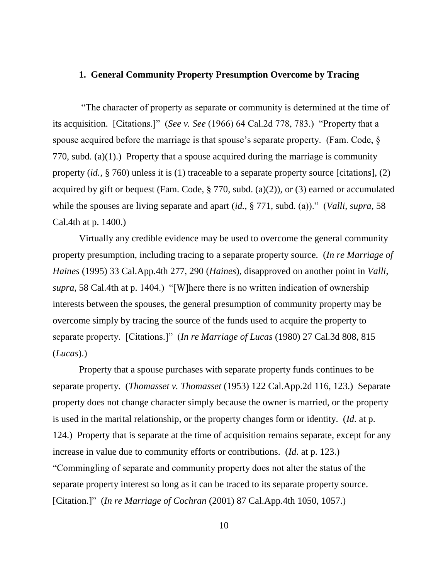#### **1. General Community Property Presumption Overcome by Tracing**

"The character of property as separate or community is determined at the time of its acquisition. [Citations.]" (*See v. See* (1966) 64 Cal.2d 778, 783.) "Property that a spouse acquired before the marriage is that spouse's separate property. (Fam. Code, § 770, subd. (a)(1).) Property that a spouse acquired during the marriage is community property (*id.,* § 760) unless it is (1) traceable to a separate property source [citations], (2) acquired by gift or bequest (Fam. Code,  $\S 770$ , subd. (a)(2)), or (3) earned or accumulated while the spouses are living separate and apart (*id.,* § 771, subd. (a))." (*Valli, supra,* 58 Cal.4th at p. 1400.)

Virtually any credible evidence may be used to overcome the general community property presumption, including tracing to a separate property source. (*In re Marriage of Haines* (1995) 33 Cal.App.4th 277, 290 (*Haines*), disapproved on another point in *Valli*, *supra*, 58 Cal.4th at p. 1404.) "[W]here there is no written indication of ownership interests between the spouses, the general presumption of community property may be overcome simply by tracing the source of the funds used to acquire the property to separate property. [Citations.]" (*In re Marriage of Lucas* (1980) 27 Cal.3d 808, 815 (*Lucas*).)

Property that a spouse purchases with separate property funds continues to be separate property. (*Thomasset v. Thomasset* (1953) 122 Cal.App.2d 116, 123.) Separate property does not change character simply because the owner is married, or the property is used in the marital relationship, or the property changes form or identity. (*Id*. at p. 124.) Property that is separate at the time of acquisition remains separate, except for any increase in value due to community efforts or contributions. (*Id*. at p. 123.) "Commingling of separate and community property does not alter the status of the separate property interest so long as it can be traced to its separate property source. [Citation.]" (*In re Marriage of Cochran* (2001) 87 Cal.App.4th 1050, 1057.)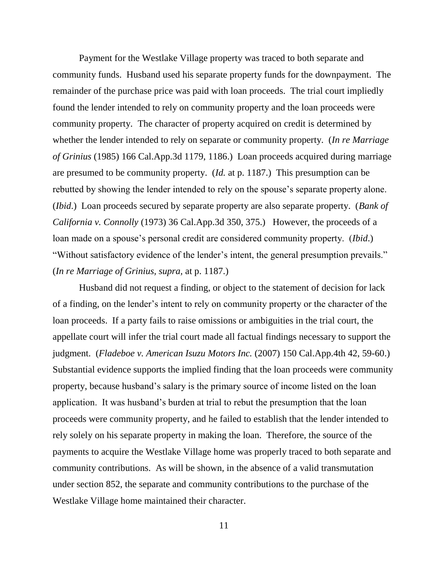Payment for the Westlake Village property was traced to both separate and community funds. Husband used his separate property funds for the downpayment. The remainder of the purchase price was paid with loan proceeds. The trial court impliedly found the lender intended to rely on community property and the loan proceeds were community property. The character of property acquired on credit is determined by whether the lender intended to rely on separate or community property. (*In re Marriage of Grinius* (1985) 166 Cal.App.3d 1179, 1186.) Loan proceeds acquired during marriage are presumed to be community property. (*Id.* at p. 1187.) This presumption can be rebutted by showing the lender intended to rely on the spouse's separate property alone. (*Ibid*.) Loan proceeds secured by separate property are also separate property. (*Bank of California v. Connolly* (1973) 36 Cal.App.3d 350, 375.) However, the proceeds of a loan made on a spouse's personal credit are considered community property. (*Ibid*.) "Without satisfactory evidence of the lender's intent, the general presumption prevails." (*In re Marriage of Grinius, supra,* at p. 1187.)

Husband did not request a finding, or object to the statement of decision for lack of a finding, on the lender's intent to rely on community property or the character of the loan proceeds. If a party fails to raise omissions or ambiguities in the trial court, the appellate court will infer the trial court made all factual findings necessary to support the judgment. (*Fladeboe v. American Isuzu Motors Inc.* (2007) 150 Cal.App.4th 42, 59-60.) Substantial evidence supports the implied finding that the loan proceeds were community property, because husband's salary is the primary source of income listed on the loan application. It was husband's burden at trial to rebut the presumption that the loan proceeds were community property, and he failed to establish that the lender intended to rely solely on his separate property in making the loan. Therefore, the source of the payments to acquire the Westlake Village home was properly traced to both separate and community contributions. As will be shown, in the absence of a valid transmutation under section 852, the separate and community contributions to the purchase of the Westlake Village home maintained their character.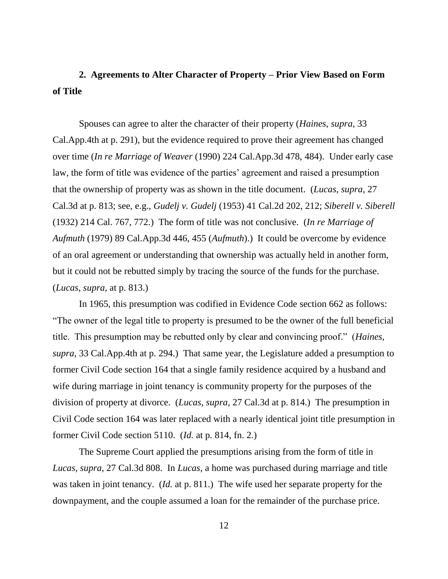# **2. Agreements to Alter Character of Property – Prior View Based on Form of Title**

Spouses can agree to alter the character of their property (*Haines*, *supra*, 33 Cal.App.4th at p. 291), but the evidence required to prove their agreement has changed over time (*In re Marriage of Weaver* (1990) 224 Cal.App.3d 478, 484). Under early case law, the form of title was evidence of the parties' agreement and raised a presumption that the ownership of property was as shown in the title document. (*Lucas*, *supra*, 27 Cal.3d at p. 813; see, e.g., *Gudelj v. Gudelj* (1953) 41 Cal.2d 202, 212; *Siberell v. Siberell* (1932) 214 Cal. 767, 772.) The form of title was not conclusive. (*In re Marriage of Aufmuth* (1979) 89 Cal.App.3d 446, 455 (*Aufmuth*).) It could be overcome by evidence of an oral agreement or understanding that ownership was actually held in another form, but it could not be rebutted simply by tracing the source of the funds for the purchase. (*Lucas*, *supra*, at p. 813.)

In 1965, this presumption was codified in Evidence Code section 662 as follows: "The owner of the legal title to property is presumed to be the owner of the full beneficial title. This presumption may be rebutted only by clear and convincing proof." (*Haines*, *supra*, 33 Cal.App.4th at p. 294.) That same year, the Legislature added a presumption to former Civil Code section 164 that a single family residence acquired by a husband and wife during marriage in joint tenancy is community property for the purposes of the division of property at divorce. (*Lucas, supra,* 27 Cal.3d at p. 814.) The presumption in Civil Code section 164 was later replaced with a nearly identical joint title presumption in former Civil Code section 5110. (*Id.* at p. 814, fn. 2.)

The Supreme Court applied the presumptions arising from the form of title in *Lucas, supra,* 27 Cal.3d 808. In *Lucas,* a home was purchased during marriage and title was taken in joint tenancy. (*Id.* at p. 811.) The wife used her separate property for the downpayment, and the couple assumed a loan for the remainder of the purchase price.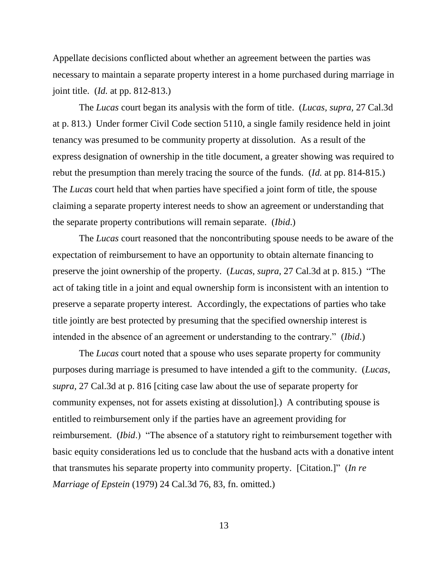Appellate decisions conflicted about whether an agreement between the parties was necessary to maintain a separate property interest in a home purchased during marriage in joint title. (*Id.* at pp. 812-813.)

The *Lucas* court began its analysis with the form of title. (*Lucas, supra,* 27 Cal.3d at p. 813.) Under former Civil Code section 5110, a single family residence held in joint tenancy was presumed to be community property at dissolution. As a result of the express designation of ownership in the title document, a greater showing was required to rebut the presumption than merely tracing the source of the funds. (*Id.* at pp. 814-815.) The *Lucas* court held that when parties have specified a joint form of title, the spouse claiming a separate property interest needs to show an agreement or understanding that the separate property contributions will remain separate. (*Ibid*.)

The *Lucas* court reasoned that the noncontributing spouse needs to be aware of the expectation of reimbursement to have an opportunity to obtain alternate financing to preserve the joint ownership of the property. (*Lucas, supra,* 27 Cal.3d at p. 815.) "The act of taking title in a joint and equal ownership form is inconsistent with an intention to preserve a separate property interest. Accordingly, the expectations of parties who take title jointly are best protected by presuming that the specified ownership interest is intended in the absence of an agreement or understanding to the contrary." (*Ibid*.)

The *Lucas* court noted that a spouse who uses separate property for community purposes during marriage is presumed to have intended a gift to the community. (*Lucas, supra,* 27 Cal.3d at p. 816 [citing case law about the use of separate property for community expenses, not for assets existing at dissolution].) A contributing spouse is entitled to reimbursement only if the parties have an agreement providing for reimbursement. (*Ibid*.) "The absence of a statutory right to reimbursement together with basic equity considerations led us to conclude that the husband acts with a donative intent that transmutes his separate property into community property. [Citation.]" (*In re Marriage of Epstein* (1979) 24 Cal.3d 76, 83, fn. omitted.)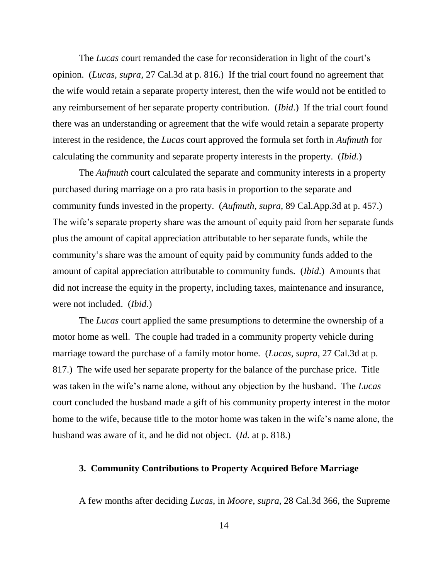The *Lucas* court remanded the case for reconsideration in light of the court's opinion. (*Lucas, supra,* 27 Cal.3d at p. 816.) If the trial court found no agreement that the wife would retain a separate property interest, then the wife would not be entitled to any reimbursement of her separate property contribution. (*Ibid*.) If the trial court found there was an understanding or agreement that the wife would retain a separate property interest in the residence, the *Lucas* court approved the formula set forth in *Aufmuth* for calculating the community and separate property interests in the property. (*Ibid.*)

The *Aufmuth* court calculated the separate and community interests in a property purchased during marriage on a pro rata basis in proportion to the separate and community funds invested in the property. (*Aufmuth*, *supra*, 89 Cal.App.3d at p. 457.) The wife's separate property share was the amount of equity paid from her separate funds plus the amount of capital appreciation attributable to her separate funds, while the community's share was the amount of equity paid by community funds added to the amount of capital appreciation attributable to community funds. (*Ibid*.) Amounts that did not increase the equity in the property, including taxes, maintenance and insurance, were not included. (*Ibid*.)

The *Lucas* court applied the same presumptions to determine the ownership of a motor home as well. The couple had traded in a community property vehicle during marriage toward the purchase of a family motor home. (*Lucas, supra,* 27 Cal.3d at p. 817.) The wife used her separate property for the balance of the purchase price. Title was taken in the wife's name alone, without any objection by the husband. The *Lucas* court concluded the husband made a gift of his community property interest in the motor home to the wife, because title to the motor home was taken in the wife's name alone, the husband was aware of it, and he did not object. (*Id.* at p. 818.)

## **3. Community Contributions to Property Acquired Before Marriage**

A few months after deciding *Lucas*, in *Moore, supra,* 28 Cal.3d 366, the Supreme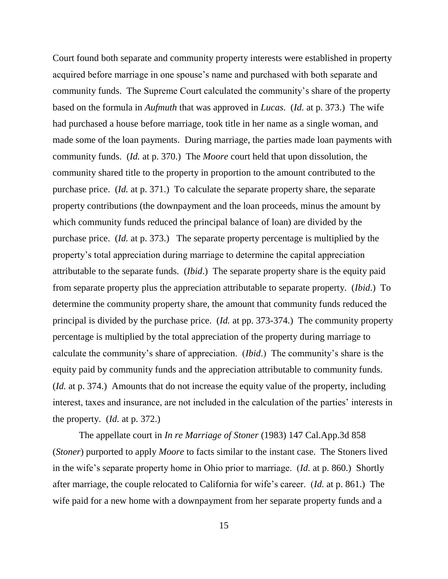Court found both separate and community property interests were established in property acquired before marriage in one spouse's name and purchased with both separate and community funds. The Supreme Court calculated the community's share of the property based on the formula in *Aufmuth* that was approved in *Lucas*. (*Id.* at p. 373.) The wife had purchased a house before marriage, took title in her name as a single woman, and made some of the loan payments. During marriage, the parties made loan payments with community funds. (*Id.* at p. 370.) The *Moore* court held that upon dissolution, the community shared title to the property in proportion to the amount contributed to the purchase price. (*Id.* at p. 371.) To calculate the separate property share, the separate property contributions (the downpayment and the loan proceeds, minus the amount by which community funds reduced the principal balance of loan) are divided by the purchase price. (*Id.* at p. 373.) The separate property percentage is multiplied by the property's total appreciation during marriage to determine the capital appreciation attributable to the separate funds. (*Ibid*.) The separate property share is the equity paid from separate property plus the appreciation attributable to separate property. (*Ibid*.) To determine the community property share, the amount that community funds reduced the principal is divided by the purchase price. (*Id.* at pp. 373-374.) The community property percentage is multiplied by the total appreciation of the property during marriage to calculate the community's share of appreciation. (*Ibid*.) The community's share is the equity paid by community funds and the appreciation attributable to community funds. (*Id.* at p. 374.) Amounts that do not increase the equity value of the property, including interest, taxes and insurance, are not included in the calculation of the parties' interests in the property. (*Id.* at p. 372.)

The appellate court in *In re Marriage of Stoner* (1983) 147 Cal.App.3d 858 (*Stoner*) purported to apply *Moore* to facts similar to the instant case. The Stoners lived in the wife's separate property home in Ohio prior to marriage. (*Id.* at p. 860.) Shortly after marriage, the couple relocated to California for wife's career. (*Id.* at p. 861.) The wife paid for a new home with a downpayment from her separate property funds and a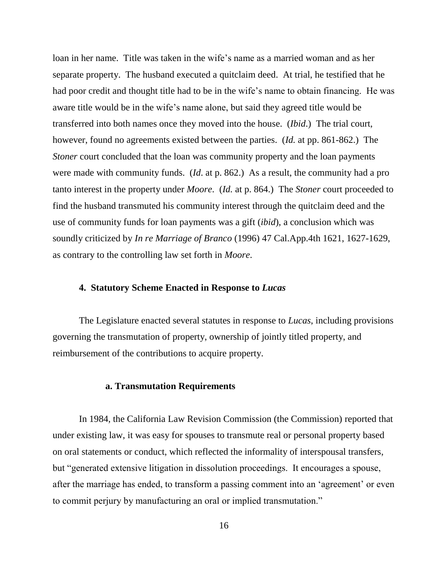loan in her name. Title was taken in the wife's name as a married woman and as her separate property. The husband executed a quitclaim deed. At trial, he testified that he had poor credit and thought title had to be in the wife's name to obtain financing. He was aware title would be in the wife's name alone, but said they agreed title would be transferred into both names once they moved into the house. (*Ibid*.) The trial court, however, found no agreements existed between the parties. (*Id.* at pp. 861-862.) The *Stoner* court concluded that the loan was community property and the loan payments were made with community funds. (*Id*. at p. 862.) As a result, the community had a pro tanto interest in the property under *Moore*. (*Id.* at p. 864.) The *Stoner* court proceeded to find the husband transmuted his community interest through the quitclaim deed and the use of community funds for loan payments was a gift (*ibid*), a conclusion which was soundly criticized by *In re Marriage of Branco* (1996) 47 Cal.App.4th 1621, 1627-1629, as contrary to the controlling law set forth in *Moore*.

#### **4. Statutory Scheme Enacted in Response to** *Lucas*

The Legislature enacted several statutes in response to *Lucas*, including provisions governing the transmutation of property, ownership of jointly titled property, and reimbursement of the contributions to acquire property.

## **a. Transmutation Requirements**

In 1984, the California Law Revision Commission (the Commission) reported that under existing law, it was easy for spouses to transmute real or personal property based on oral statements or conduct, which reflected the informality of interspousal transfers, but "generated extensive litigation in dissolution proceedings. It encourages a spouse, after the marriage has ended, to transform a passing comment into an 'agreement' or even to commit perjury by manufacturing an oral or implied transmutation."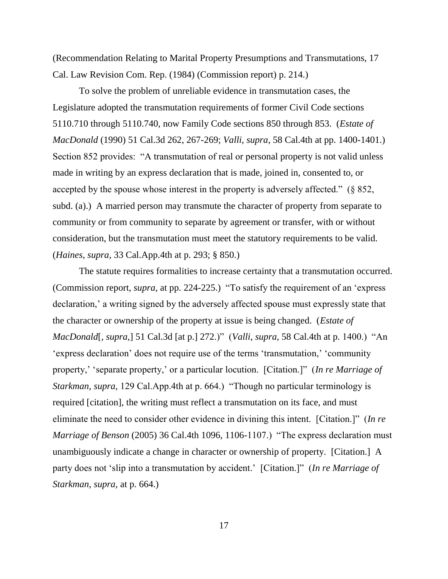(Recommendation Relating to Marital Property Presumptions and Transmutations, 17 Cal. Law Revision Com. Rep. (1984) (Commission report) p. 214.)

To solve the problem of unreliable evidence in transmutation cases, the Legislature adopted the transmutation requirements of former Civil Code sections 5110.710 through 5110.740, now Family Code sections 850 through 853. (*Estate of MacDonald* (1990) 51 Cal.3d 262, 267-269; *Valli, supra,* 58 Cal.4th at pp. 1400-1401.) Section 852 provides: "A transmutation of real or personal property is not valid unless made in writing by an express declaration that is made, joined in, consented to, or accepted by the spouse whose interest in the property is adversely affected." (§ 852, subd. (a).) A married person may transmute the character of property from separate to community or from community to separate by agreement or transfer, with or without consideration, but the transmutation must meet the statutory requirements to be valid. (*Haines, supra,* 33 Cal.App.4th at p. 293; § 850.)

The statute requires formalities to increase certainty that a transmutation occurred. (Commission report, *supra,* at pp. 224-225.) "To satisfy the requirement of an 'express declaration,' a writing signed by the adversely affected spouse must expressly state that the character or ownership of the property at issue is being changed. (*Estate of MacDonald*[*, supra,*] 51 Cal.3d [at p.] 272.)" (*Valli*, *supra*, 58 Cal.4th at p. 1400.) "An 'express declaration' does not require use of the terms 'transmutation,' 'community property,' 'separate property,' or a particular locution. [Citation.]" (*In re Marriage of Starkman, supra,* 129 Cal.App.4th at p. 664.) "Though no particular terminology is required [citation], the writing must reflect a transmutation on its face, and must eliminate the need to consider other evidence in divining this intent. [Citation.]" (*In re Marriage of Benson* (2005) 36 Cal.4th 1096, 1106-1107.) "The express declaration must unambiguously indicate a change in character or ownership of property. [Citation.] A party does not 'slip into a transmutation by accident.' [Citation.]" (*In re Marriage of Starkman, supra,* at p. 664.)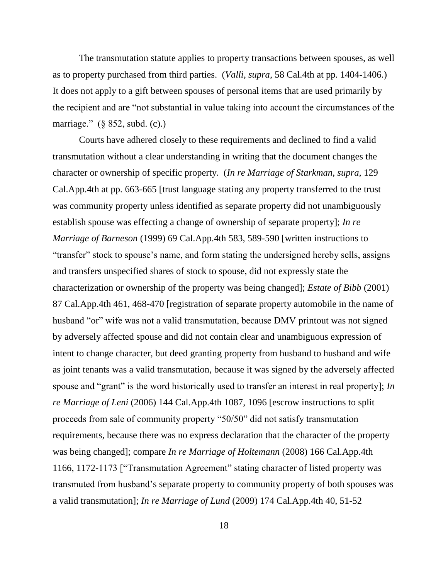The transmutation statute applies to property transactions between spouses, as well as to property purchased from third parties. (*Valli, supra,* 58 Cal.4th at pp. 1404-1406.) It does not apply to a gift between spouses of personal items that are used primarily by the recipient and are "not substantial in value taking into account the circumstances of the marriage." (§ 852, subd. (c).)

Courts have adhered closely to these requirements and declined to find a valid transmutation without a clear understanding in writing that the document changes the character or ownership of specific property. (*In re Marriage of Starkman, supra,* 129 Cal.App.4th at pp. 663-665 [trust language stating any property transferred to the trust was community property unless identified as separate property did not unambiguously establish spouse was effecting a change of ownership of separate property]; *In re Marriage of Barneson* (1999) 69 Cal.App.4th 583, 589-590 [written instructions to "transfer" stock to spouse's name, and form stating the undersigned hereby sells, assigns and transfers unspecified shares of stock to spouse, did not expressly state the characterization or ownership of the property was being changed]; *Estate of Bibb* (2001) 87 Cal.App.4th 461, 468-470 [registration of separate property automobile in the name of husband "or" wife was not a valid transmutation, because DMV printout was not signed by adversely affected spouse and did not contain clear and unambiguous expression of intent to change character, but deed granting property from husband to husband and wife as joint tenants was a valid transmutation, because it was signed by the adversely affected spouse and "grant" is the word historically used to transfer an interest in real property]; *In re Marriage of Leni* (2006) 144 Cal.App.4th 1087, 1096 [escrow instructions to split proceeds from sale of community property "50/50" did not satisfy transmutation requirements, because there was no express declaration that the character of the property was being changed]; compare *In re Marriage of Holtemann* (2008) 166 Cal.App.4th 1166, 1172-1173 ["Transmutation Agreement" stating character of listed property was transmuted from husband's separate property to community property of both spouses was a valid transmutation]; *In re Marriage of Lund* (2009) 174 Cal.App.4th 40, 51-52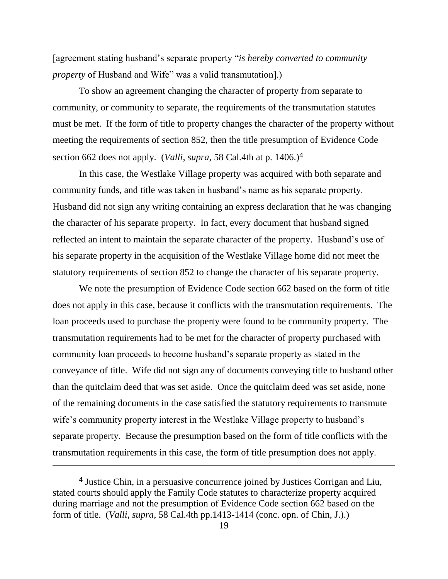[agreement stating husband's separate property "*is hereby converted to community property* of Husband and Wife" was a valid transmutation].)

To show an agreement changing the character of property from separate to community, or community to separate, the requirements of the transmutation statutes must be met. If the form of title to property changes the character of the property without meeting the requirements of section 852, then the title presumption of Evidence Code section 662 does not apply. (*Valli*, *supra*, 58 Cal.4th at p. 1406.)<sup>4</sup>

In this case, the Westlake Village property was acquired with both separate and community funds, and title was taken in husband's name as his separate property. Husband did not sign any writing containing an express declaration that he was changing the character of his separate property. In fact, every document that husband signed reflected an intent to maintain the separate character of the property. Husband's use of his separate property in the acquisition of the Westlake Village home did not meet the statutory requirements of section 852 to change the character of his separate property.

We note the presumption of Evidence Code section 662 based on the form of title does not apply in this case, because it conflicts with the transmutation requirements. The loan proceeds used to purchase the property were found to be community property. The transmutation requirements had to be met for the character of property purchased with community loan proceeds to become husband's separate property as stated in the conveyance of title. Wife did not sign any of documents conveying title to husband other than the quitclaim deed that was set aside. Once the quitclaim deed was set aside, none of the remaining documents in the case satisfied the statutory requirements to transmute wife's community property interest in the Westlake Village property to husband's separate property. Because the presumption based on the form of title conflicts with the transmutation requirements in this case, the form of title presumption does not apply.

<sup>4</sup> Justice Chin, in a persuasive concurrence joined by Justices Corrigan and Liu, stated courts should apply the Family Code statutes to characterize property acquired during marriage and not the presumption of Evidence Code section 662 based on the form of title. (*Valli*, *supra*, 58 Cal.4th pp.1413-1414 (conc. opn. of Chin, J.).)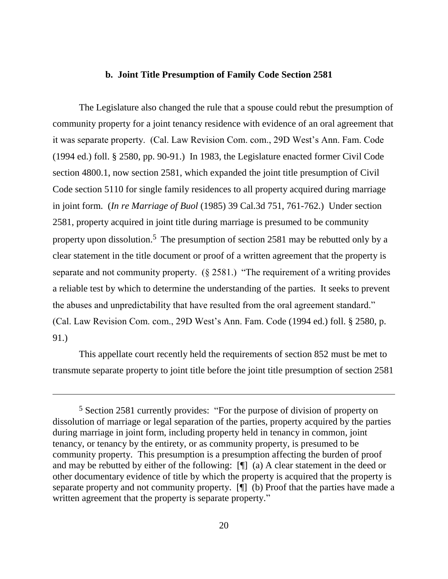#### **b. Joint Title Presumption of Family Code Section 2581**

The Legislature also changed the rule that a spouse could rebut the presumption of community property for a joint tenancy residence with evidence of an oral agreement that it was separate property. (Cal. Law Revision Com. com., 29D West's Ann. Fam. Code (1994 ed.) foll. § 2580, pp. 90-91.) In 1983, the Legislature enacted former Civil Code section 4800.1, now section 2581, which expanded the joint title presumption of Civil Code section 5110 for single family residences to all property acquired during marriage in joint form. (*In re Marriage of Buol* (1985) 39 Cal.3d 751, 761-762.) Under section 2581, property acquired in joint title during marriage is presumed to be community property upon dissolution.<sup>5</sup> The presumption of section 2581 may be rebutted only by a clear statement in the title document or proof of a written agreement that the property is separate and not community property. (§ 2581.) "The requirement of a writing provides a reliable test by which to determine the understanding of the parties. It seeks to prevent the abuses and unpredictability that have resulted from the oral agreement standard." (Cal. Law Revision Com. com., 29D West's Ann. Fam. Code (1994 ed.) foll. § 2580, p. 91.)

This appellate court recently held the requirements of section 852 must be met to transmute separate property to joint title before the joint title presumption of section 2581

<sup>5</sup> Section 2581 currently provides: "For the purpose of division of property on dissolution of marriage or legal separation of the parties, property acquired by the parties during marriage in joint form, including property held in tenancy in common, joint tenancy, or tenancy by the entirety, or as community property, is presumed to be community property. This presumption is a presumption affecting the burden of proof and may be rebutted by either of the following: [¶] (a) A clear statement in the deed or other documentary evidence of title by which the property is acquired that the property is separate property and not community property. [¶] (b) Proof that the parties have made a written agreement that the property is separate property."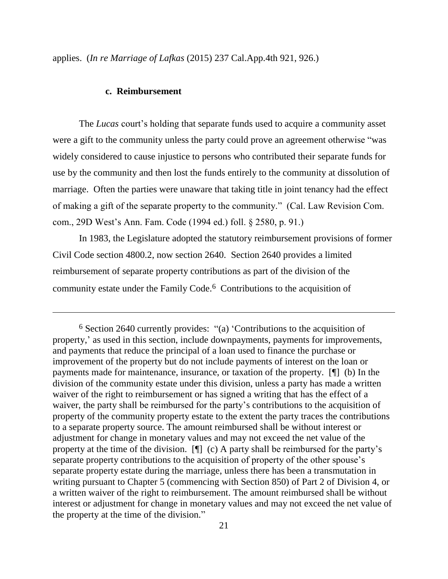applies. (*In re Marriage of Lafkas* (2015) 237 Cal.App.4th 921, 926.)

#### **c. Reimbursement**

The *Lucas* court's holding that separate funds used to acquire a community asset were a gift to the community unless the party could prove an agreement otherwise "was widely considered to cause injustice to persons who contributed their separate funds for use by the community and then lost the funds entirely to the community at dissolution of marriage. Often the parties were unaware that taking title in joint tenancy had the effect of making a gift of the separate property to the community." (Cal. Law Revision Com. com., 29D West's Ann. Fam. Code (1994 ed.) foll. § 2580, p. 91.)

In 1983, the Legislature adopted the statutory reimbursement provisions of former Civil Code section 4800.2, now section 2640. Section 2640 provides a limited reimbursement of separate property contributions as part of the division of the community estate under the Family Code.<sup>6</sup> Contributions to the acquisition of

<sup>6</sup> Section 2640 currently provides: "(a) 'Contributions to the acquisition of property,' as used in this section, include downpayments, payments for improvements, and payments that reduce the principal of a loan used to finance the purchase or improvement of the property but do not include payments of interest on the loan or payments made for maintenance, insurance, or taxation of the property. [¶] (b) In the division of the community estate under this division, unless a party has made a written waiver of the right to reimbursement or has signed a writing that has the effect of a waiver, the party shall be reimbursed for the party's contributions to the acquisition of property of the community property estate to the extent the party traces the contributions to a separate property source. The amount reimbursed shall be without interest or adjustment for change in monetary values and may not exceed the net value of the property at the time of the division. [¶] (c) A party shall be reimbursed for the party's separate property contributions to the acquisition of property of the other spouse's separate property estate during the marriage, unless there has been a transmutation in writing pursuant to Chapter 5 (commencing with Section 850) of Part 2 of Division 4, or a written waiver of the right to reimbursement. The amount reimbursed shall be without interest or adjustment for change in monetary values and may not exceed the net value of the property at the time of the division."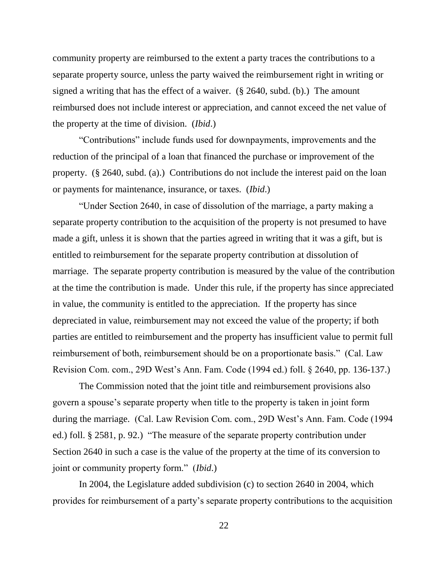community property are reimbursed to the extent a party traces the contributions to a separate property source, unless the party waived the reimbursement right in writing or signed a writing that has the effect of a waiver. (§ 2640, subd. (b).) The amount reimbursed does not include interest or appreciation, and cannot exceed the net value of the property at the time of division. (*Ibid*.)

"Contributions" include funds used for downpayments, improvements and the reduction of the principal of a loan that financed the purchase or improvement of the property. (§ 2640, subd. (a).) Contributions do not include the interest paid on the loan or payments for maintenance, insurance, or taxes. (*Ibid*.)

"Under Section 2640, in case of dissolution of the marriage, a party making a separate property contribution to the acquisition of the property is not presumed to have made a gift, unless it is shown that the parties agreed in writing that it was a gift, but is entitled to reimbursement for the separate property contribution at dissolution of marriage. The separate property contribution is measured by the value of the contribution at the time the contribution is made. Under this rule, if the property has since appreciated in value, the community is entitled to the appreciation. If the property has since depreciated in value, reimbursement may not exceed the value of the property; if both parties are entitled to reimbursement and the property has insufficient value to permit full reimbursement of both, reimbursement should be on a proportionate basis." (Cal. Law Revision Com. com., 29D West's Ann. Fam. Code (1994 ed.) foll. § 2640, pp. 136-137.)

The Commission noted that the joint title and reimbursement provisions also govern a spouse's separate property when title to the property is taken in joint form during the marriage. (Cal. Law Revision Com. com., 29D West's Ann. Fam. Code (1994 ed.) foll. § 2581, p. 92.) "The measure of the separate property contribution under Section 2640 in such a case is the value of the property at the time of its conversion to joint or community property form." (*Ibid*.)

In 2004, the Legislature added subdivision (c) to section 2640 in 2004, which provides for reimbursement of a party's separate property contributions to the acquisition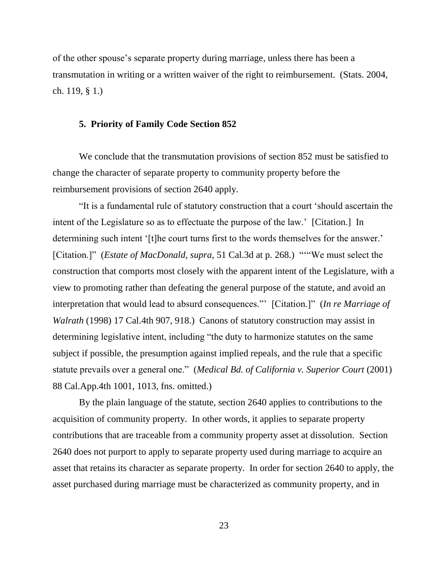of the other spouse's separate property during marriage, unless there has been a transmutation in writing or a written waiver of the right to reimbursement. (Stats. 2004, ch. 119, § 1.)

#### **5. Priority of Family Code Section 852**

We conclude that the transmutation provisions of section 852 must be satisfied to change the character of separate property to community property before the reimbursement provisions of section 2640 apply.

"It is a fundamental rule of statutory construction that a court 'should ascertain the intent of the Legislature so as to effectuate the purpose of the law.' [Citation.] In determining such intent '[t]he court turns first to the words themselves for the answer.' [Citation.]" (*Estate of MacDonald, supra,* 51 Cal.3d at p. 268.) "'"We must select the construction that comports most closely with the apparent intent of the Legislature, with a view to promoting rather than defeating the general purpose of the statute, and avoid an interpretation that would lead to absurd consequences."' [Citation.]" (*In re Marriage of Walrath* (1998) 17 Cal.4th 907, 918.) Canons of statutory construction may assist in determining legislative intent, including "the duty to harmonize statutes on the same subject if possible, the presumption against implied repeals, and the rule that a specific statute prevails over a general one." (*Medical Bd. of California v. Superior Court* (2001) 88 Cal.App.4th 1001, 1013, fns. omitted.)

By the plain language of the statute, section 2640 applies to contributions to the acquisition of community property. In other words, it applies to separate property contributions that are traceable from a community property asset at dissolution. Section 2640 does not purport to apply to separate property used during marriage to acquire an asset that retains its character as separate property. In order for section 2640 to apply, the asset purchased during marriage must be characterized as community property, and in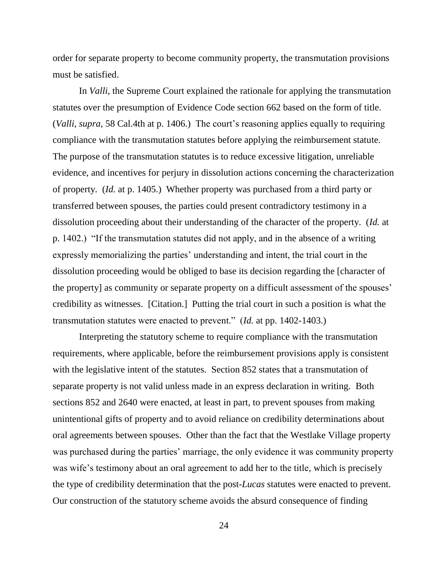order for separate property to become community property, the transmutation provisions must be satisfied.

In *Valli*, the Supreme Court explained the rationale for applying the transmutation statutes over the presumption of Evidence Code section 662 based on the form of title. (*Valli*, *supra*, 58 Cal.4th at p. 1406.) The court's reasoning applies equally to requiring compliance with the transmutation statutes before applying the reimbursement statute. The purpose of the transmutation statutes is to reduce excessive litigation, unreliable evidence, and incentives for perjury in dissolution actions concerning the characterization of property. (*Id.* at p. 1405.) Whether property was purchased from a third party or transferred between spouses, the parties could present contradictory testimony in a dissolution proceeding about their understanding of the character of the property. (*Id.* at p. 1402.) "If the transmutation statutes did not apply, and in the absence of a writing expressly memorializing the parties' understanding and intent, the trial court in the dissolution proceeding would be obliged to base its decision regarding the [character of the property] as community or separate property on a difficult assessment of the spouses' credibility as witnesses. [Citation.] Putting the trial court in such a position is what the transmutation statutes were enacted to prevent." (*Id.* at pp. 1402-1403.)

Interpreting the statutory scheme to require compliance with the transmutation requirements, where applicable, before the reimbursement provisions apply is consistent with the legislative intent of the statutes. Section 852 states that a transmutation of separate property is not valid unless made in an express declaration in writing. Both sections 852 and 2640 were enacted, at least in part, to prevent spouses from making unintentional gifts of property and to avoid reliance on credibility determinations about oral agreements between spouses. Other than the fact that the Westlake Village property was purchased during the parties' marriage, the only evidence it was community property was wife's testimony about an oral agreement to add her to the title, which is precisely the type of credibility determination that the post-*Lucas* statutes were enacted to prevent. Our construction of the statutory scheme avoids the absurd consequence of finding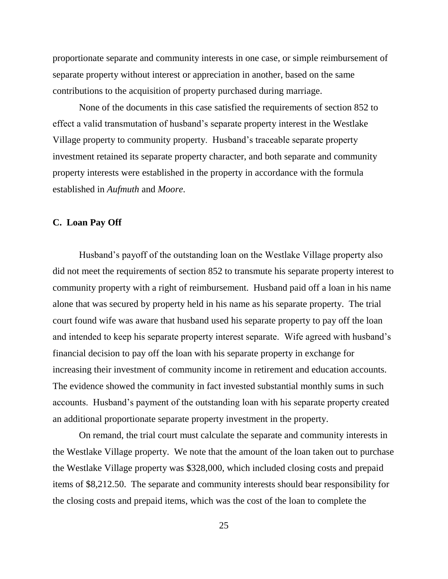proportionate separate and community interests in one case, or simple reimbursement of separate property without interest or appreciation in another, based on the same contributions to the acquisition of property purchased during marriage.

None of the documents in this case satisfied the requirements of section 852 to effect a valid transmutation of husband's separate property interest in the Westlake Village property to community property. Husband's traceable separate property investment retained its separate property character, and both separate and community property interests were established in the property in accordance with the formula established in *Aufmuth* and *Moore*.

## **C. Loan Pay Off**

Husband's payoff of the outstanding loan on the Westlake Village property also did not meet the requirements of section 852 to transmute his separate property interest to community property with a right of reimbursement. Husband paid off a loan in his name alone that was secured by property held in his name as his separate property. The trial court found wife was aware that husband used his separate property to pay off the loan and intended to keep his separate property interest separate. Wife agreed with husband's financial decision to pay off the loan with his separate property in exchange for increasing their investment of community income in retirement and education accounts. The evidence showed the community in fact invested substantial monthly sums in such accounts. Husband's payment of the outstanding loan with his separate property created an additional proportionate separate property investment in the property.

On remand, the trial court must calculate the separate and community interests in the Westlake Village property. We note that the amount of the loan taken out to purchase the Westlake Village property was \$328,000, which included closing costs and prepaid items of \$8,212.50. The separate and community interests should bear responsibility for the closing costs and prepaid items, which was the cost of the loan to complete the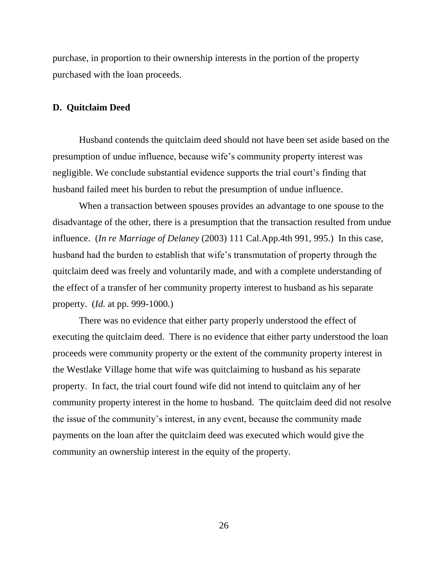purchase, in proportion to their ownership interests in the portion of the property purchased with the loan proceeds.

#### **D. Quitclaim Deed**

Husband contends the quitclaim deed should not have been set aside based on the presumption of undue influence, because wife's community property interest was negligible. We conclude substantial evidence supports the trial court's finding that husband failed meet his burden to rebut the presumption of undue influence.

When a transaction between spouses provides an advantage to one spouse to the disadvantage of the other, there is a presumption that the transaction resulted from undue influence. (*In re Marriage of Delaney* (2003) 111 Cal.App.4th 991, 995.) In this case, husband had the burden to establish that wife's transmutation of property through the quitclaim deed was freely and voluntarily made, and with a complete understanding of the effect of a transfer of her community property interest to husband as his separate property. (*Id.* at pp. 999-1000.)

There was no evidence that either party properly understood the effect of executing the quitclaim deed. There is no evidence that either party understood the loan proceeds were community property or the extent of the community property interest in the Westlake Village home that wife was quitclaiming to husband as his separate property. In fact, the trial court found wife did not intend to quitclaim any of her community property interest in the home to husband. The quitclaim deed did not resolve the issue of the community's interest, in any event, because the community made payments on the loan after the quitclaim deed was executed which would give the community an ownership interest in the equity of the property.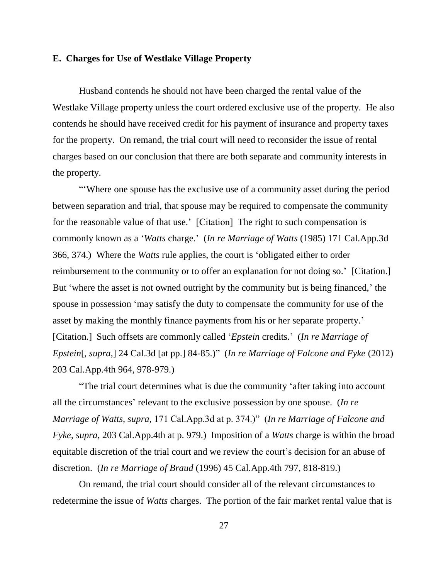#### **E. Charges for Use of Westlake Village Property**

Husband contends he should not have been charged the rental value of the Westlake Village property unless the court ordered exclusive use of the property. He also contends he should have received credit for his payment of insurance and property taxes for the property. On remand, the trial court will need to reconsider the issue of rental charges based on our conclusion that there are both separate and community interests in the property.

"'Where one spouse has the exclusive use of a community asset during the period between separation and trial, that spouse may be required to compensate the community for the reasonable value of that use.' [Citation] The right to such compensation is commonly known as a '*Watts* charge.' (*In re Marriage of Watts* (1985) 171 Cal.App.3d 366, 374.) Where the *Watts* rule applies, the court is 'obligated either to order reimbursement to the community or to offer an explanation for not doing so.' [Citation.] But 'where the asset is not owned outright by the community but is being financed,' the spouse in possession 'may satisfy the duty to compensate the community for use of the asset by making the monthly finance payments from his or her separate property.' [Citation.] Such offsets are commonly called '*Epstein* credits.' (*In re Marriage of Epstein*[, *supra*,] 24 Cal.3d [at pp.] 84-85.)" (*In re Marriage of Falcone and Fyke* (2012) 203 Cal.App.4th 964, 978-979.)

"The trial court determines what is due the community 'after taking into account all the circumstances' relevant to the exclusive possession by one spouse. (*In re Marriage of Watts, supra,* 171 Cal.App.3d at p. 374.)" (*In re Marriage of Falcone and Fyke*, *supra*, 203 Cal.App.4th at p. 979.) Imposition of a *Watts* charge is within the broad equitable discretion of the trial court and we review the court's decision for an abuse of discretion. (*In re Marriage of Braud* (1996) 45 Cal.App.4th 797, 818-819.)

On remand, the trial court should consider all of the relevant circumstances to redetermine the issue of *Watts* charges. The portion of the fair market rental value that is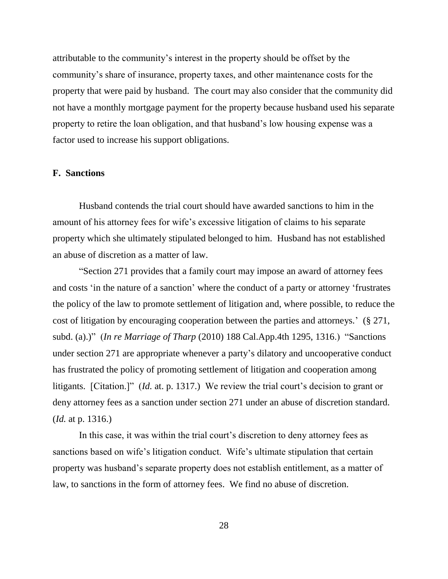attributable to the community's interest in the property should be offset by the community's share of insurance, property taxes, and other maintenance costs for the property that were paid by husband. The court may also consider that the community did not have a monthly mortgage payment for the property because husband used his separate property to retire the loan obligation, and that husband's low housing expense was a factor used to increase his support obligations.

## **F. Sanctions**

Husband contends the trial court should have awarded sanctions to him in the amount of his attorney fees for wife's excessive litigation of claims to his separate property which she ultimately stipulated belonged to him. Husband has not established an abuse of discretion as a matter of law.

"Section 271 provides that a family court may impose an award of attorney fees and costs 'in the nature of a sanction' where the conduct of a party or attorney 'frustrates the policy of the law to promote settlement of litigation and, where possible, to reduce the cost of litigation by encouraging cooperation between the parties and attorneys.' (§ 271, subd. (a).)" (*In re Marriage of Tharp* (2010) 188 Cal.App.4th 1295, 1316.) "Sanctions under section 271 are appropriate whenever a party's dilatory and uncooperative conduct has frustrated the policy of promoting settlement of litigation and cooperation among litigants. [Citation.]" (*Id.* at. p. 1317.) We review the trial court's decision to grant or deny attorney fees as a sanction under section 271 under an abuse of discretion standard. (*Id.* at p. 1316.)

In this case, it was within the trial court's discretion to deny attorney fees as sanctions based on wife's litigation conduct. Wife's ultimate stipulation that certain property was husband's separate property does not establish entitlement, as a matter of law, to sanctions in the form of attorney fees. We find no abuse of discretion.